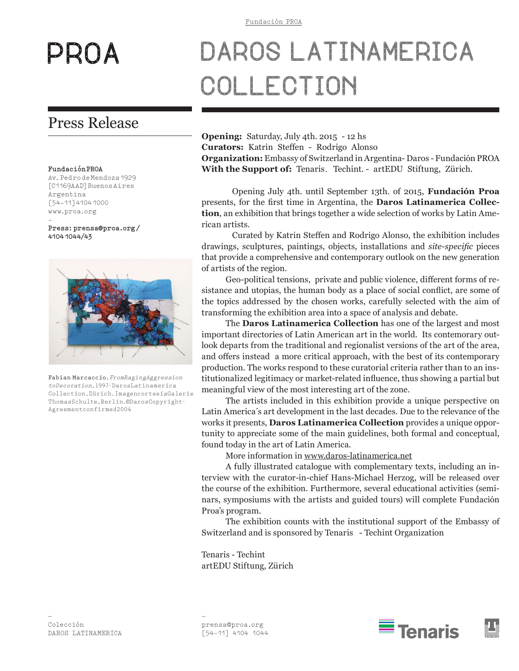# PROA

# Press Release

### **FundaciónPROA**

Av.PedrodeMendoza1929 [C1169AAD]BuenosAires Argentina [54-11]41041000 www.proa.org

- **Press:prensa@proa.org/ 41041044/43**



**Fabian Marcaccio.***FromRagingAggression toDecoration,*1997-DarosLatinamerica Collection,Zürich.ImagencortseíaGalerie ThomasSchulte,Berlin.©DarosCopyright-Agreementconfirmed2004

# DAROS LATINAMERICA COLLECTION

**Opening:** Saturday, July 4th. 2015 - 12 hs **Curators:** Katrin Steffen - Rodrigo Alonso **Organization:** Embassy of Switzerland in Argentina- Daros - Fundación PROA **With the Support of:** Tenaris, Techint. - artEDU Stiftung, Zürich.

Opening July 4th. until September 13th. of 2015, **Fundación Proa** presents, for the first time in Argentina, the **Daros Latinamerica Collection**, an exhibition that brings together a wide selection of works by Latin American artists.

Curated by Katrin Steffen and Rodrigo Alonso, the exhibition includes drawings, sculptures, paintings, objects, installations and *site-specific* pieces that provide a comprehensive and contemporary outlook on the new generation of artists of the region.

Geo-political tensions, private and public violence, different forms of resistance and utopias, the human body as a place of social conflict, are some of the topics addressed by the chosen works, carefully selected with the aim of transforming the exhibition area into a space of analysis and debate.

The **Daros Latinamerica Collection** has one of the largest and most important directories of Latin American art in the world. Its contemorary outlook departs from the traditional and regionalist versions of the art of the area, and offers instead a more critical approach, with the best of its contemporary production. The works respond to these curatorial criteria rather than to an institutionalized legitimacy or market-related influence, thus showing a partial but meaningful view of the most interesting art of the zone.

The artists included in this exhibition provide a unique perspective on Latin America´s art development in the last decades. Due to the relevance of the works it presents, **Daros Latinamerica Collection** provides a unique opportunity to appreciate some of the main guidelines, both formal and conceptual, found today in the art of Latin America.

More information in www.daros-latinamerica.net

A fully illustrated catalogue with complementary texts, including an interview with the curator-in-chief Hans-Michael Herzog, will be released over the course of the exhibition. Furthermore, several educational activities (seminars, symposiums with the artists and guided tours) will complete Fundación Proa's program.

The exhibition counts with the institutional support of the Embassy of Switzerland and is sponsored by Tenaris - Techint Organization

Tenaris - Techint artEDU Stiftung, Zürich

–